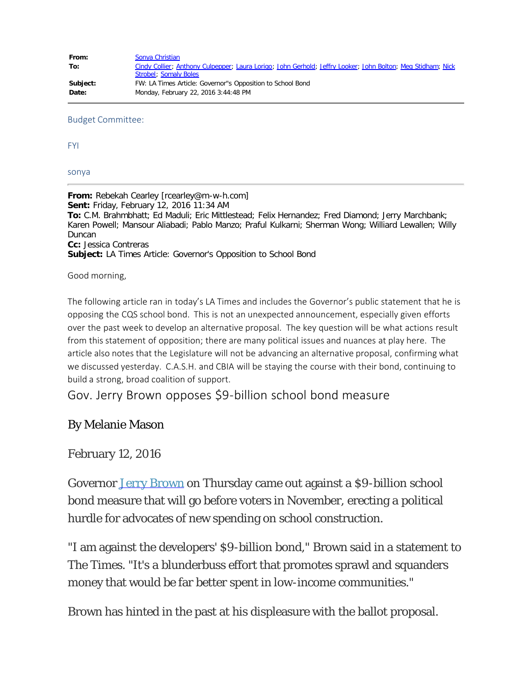| From:    | Sonya Christian                                                                                             |
|----------|-------------------------------------------------------------------------------------------------------------|
| To:      | Cindy Collier; Anthony Culpepper; Laura Lorigo; John Gerhold; Jeffry Looker; John Bolton; Meg Stidham; Nick |
|          | Strobel; Somaly Boles                                                                                       |
| Subject: | FW: LA Times Article: Governor"s Opposition to School Bond                                                  |
| Date:    | Monday, February 22, 2016 3:44:48 PM                                                                        |

## Budget Committee:

FYI

sonya

**From:** Rebekah Cearley [rcearley@m-w-h.com] **Sent:** Friday, February 12, 2016 11:34 AM **To:** C.M. Brahmbhatt; Ed Maduli; Eric Mittlestead; Felix Hernandez; Fred Diamond; Jerry Marchbank; Karen Powell; Mansour Aliabadi; Pablo Manzo; Praful Kulkarni; Sherman Wong; Williard Lewallen; Willy Duncan **Cc:** Jessica Contreras **Subject:** LA Times Article: Governor's Opposition to School Bond

Good morning,

The following article ran in today's LA Times and includes the Governor's public statement that he is opposing the CQS school bond. This is not an unexpected announcement, especially given efforts over the past week to develop an alternative proposal. The key question will be what actions result from this statement of opposition; there are many political issues and nuances at play here. The article also notes that the Legislature will not be advancing an alternative proposal, confirming what we discussed yesterday. C.A.S.H. and CBIA will be staying the course with their bond, continuing to build a strong, broad coalition of support.

Gov. Jerry Brown opposes \$9-billion school bond measure

## By Melanie Mason

February 12, 2016

Governor [Jerry Brown](http://www.latimes.com/topic/politics-government/jerry-brown-PEPLT007547-topic.html) on Thursday came out against a \$9-billion school bond measure that will go before voters in November, erecting a political hurdle for advocates of new spending on school construction.

"I am against the developers' \$9-billion bond," Brown said in a statement to The Times. "It's a blunderbuss effort that promotes sprawl and squanders money that would be far better spent in low-income communities."

Brown has hinted in the past at his displeasure with the ballot proposal.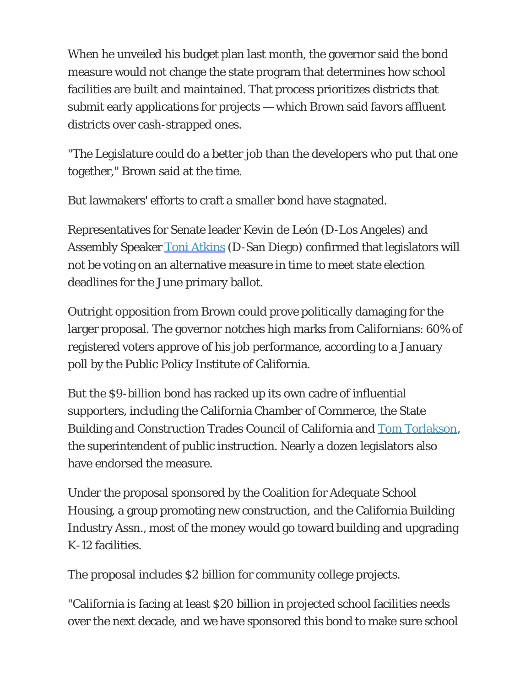When he unveiled his budget plan last month, the governor said the bond measure would not change the state program that determines how school facilities are built and maintained. That process prioritizes districts that submit early applications for projects — which Brown said favors affluent districts over cash-strapped ones.

"The Legislature could do a better job than the developers who put that one together," Brown said at the time.

But lawmakers' efforts to craft a smaller bond have stagnated.

Representatives for Senate leader Kevin de León (D-Los Angeles) and Assembly Speaker [Toni Atkins](http://www.latimes.com/topic/politics-government/government/toni-atkins-PEPLT00008555-topic.html) (D-San Diego) confirmed that legislators will not be voting on an alternative measure in time to meet state election deadlines for the June primary ballot.

Outright opposition from Brown could prove politically damaging for the larger proposal. The governor notches high marks from Californians: 60% of registered voters approve of his job performance, according to a January poll by the Public Policy Institute of California.

But the \$9-billion bond has racked up its own cadre of influential supporters, including the California Chamber of Commerce, the State Building and Construction Trades Council of California and [Tom Torlakson,](http://www.latimes.com/topic/politics-government/tom-torlakson-PEPLT006650-topic.html) the superintendent of public instruction. Nearly a dozen legislators also have endorsed the measure.

Under the proposal sponsored by the Coalition for Adequate School Housing, a group promoting new construction, and the California Building Industry Assn., most of the money would go toward building and upgrading K-12 facilities.

The proposal includes \$2 billion for community college projects.

"California is facing at least \$20 billion in projected school facilities needs over the next decade, and we have sponsored this bond to make sure school